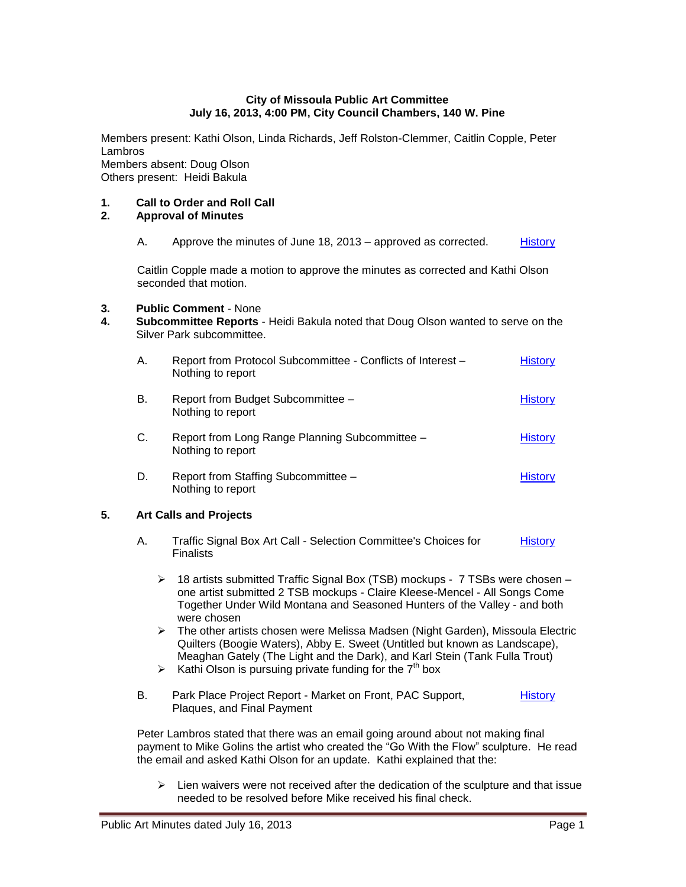### **City of Missoula Public Art Committee July 16, 2013, 4:00 PM, City Council Chambers, 140 W. Pine**

Members present: Kathi Olson, Linda Richards, Jeff Rolston-Clemmer, Caitlin Copple, Peter Lambros Members absent: Doug Olson Others present: Heidi Bakula

# **1. Call to Order and Roll Call**

## **2. Approval of Minutes**

A. Approve the minutes of June 18, 2013 – approved as corrected. [History](http://missoula.siretechnologies.com/sirepub/item.aspx?itemid=12219)

Caitlin Copple made a motion to approve the minutes as corrected and Kathi Olson seconded that motion.

#### **3. Public Comment** - None

**4. Subcommittee Reports** - Heidi Bakula noted that Doug Olson wanted to serve on the Silver Park subcommittee.

| А. | Report from Protocol Subcommittee - Conflicts of Interest -<br>Nothing to report | <b>History</b> |
|----|----------------------------------------------------------------------------------|----------------|
| В. | Report from Budget Subcommittee -<br>Nothing to report                           | History        |
| C. | Report from Long Range Planning Subcommittee -<br>Nothing to report              | History        |
| D. | Report from Staffing Subcommittee -<br>Nothing to report                         | History        |

# **5. Art Calls and Projects**

- A. Traffic Signal Box Art Call Selection Committee's Choices for **Finalists [History](http://missoula.siretechnologies.com/sirepub/item.aspx?itemid=12270)** 
	- $\geq$  18 artists submitted Traffic Signal Box (TSB) mockups 7 TSBs were chosen one artist submitted 2 TSB mockups - Claire Kleese-Mencel - All Songs Come Together Under Wild Montana and Seasoned Hunters of the Valley - and both were chosen
	- $\triangleright$  The other artists chosen were Melissa Madsen (Night Garden), Missoula Electric Quilters (Boogie Waters), Abby E. Sweet (Untitled but known as Landscape), Meaghan Gately (The Light and the Dark), and Karl Stein (Tank Fulla Trout)
	- $\triangleright$  Kathi Olson is pursuing private funding for the  $7<sup>th</sup>$  box
- B. Park Place Project Report Market on Front, PAC Support, Plaques, and Final Payment **[History](http://missoula.siretechnologies.com/sirepub/item.aspx?itemid=12277)**

Peter Lambros stated that there was an email going around about not making final payment to Mike Golins the artist who created the "Go With the Flow" sculpture. He read the email and asked Kathi Olson for an update. Kathi explained that the:

 $\triangleright$  Lien waivers were not received after the dedication of the sculpture and that issue needed to be resolved before Mike received his final check.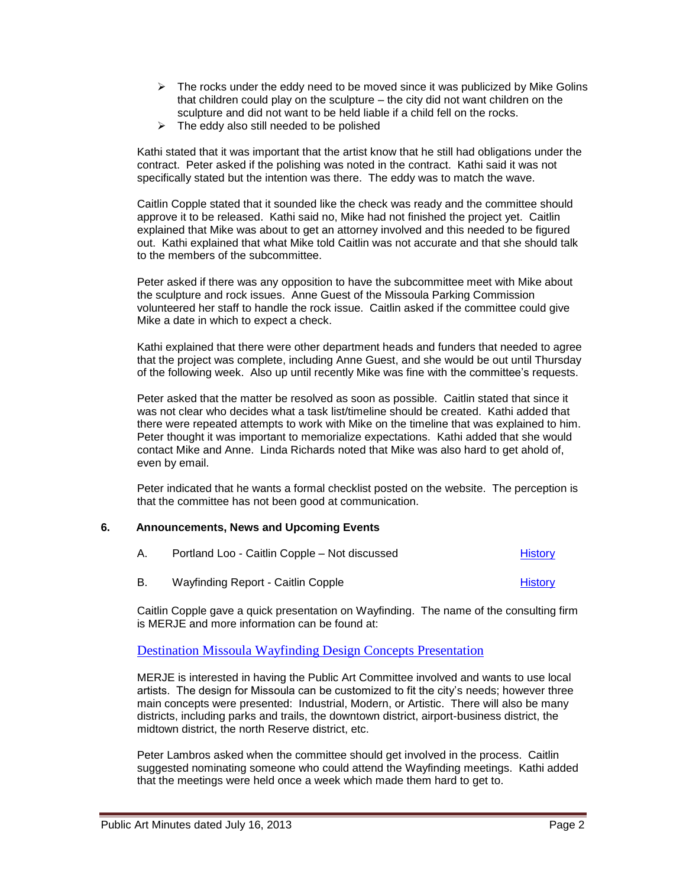- $\triangleright$  The rocks under the eddy need to be moved since it was publicized by Mike Golins that children could play on the sculpture – the city did not want children on the sculpture and did not want to be held liable if a child fell on the rocks.
- $\triangleright$  The eddy also still needed to be polished

Kathi stated that it was important that the artist know that he still had obligations under the contract. Peter asked if the polishing was noted in the contract. Kathi said it was not specifically stated but the intention was there. The eddy was to match the wave.

Caitlin Copple stated that it sounded like the check was ready and the committee should approve it to be released. Kathi said no, Mike had not finished the project yet. Caitlin explained that Mike was about to get an attorney involved and this needed to be figured out. Kathi explained that what Mike told Caitlin was not accurate and that she should talk to the members of the subcommittee.

Peter asked if there was any opposition to have the subcommittee meet with Mike about the sculpture and rock issues. Anne Guest of the Missoula Parking Commission volunteered her staff to handle the rock issue. Caitlin asked if the committee could give Mike a date in which to expect a check.

Kathi explained that there were other department heads and funders that needed to agree that the project was complete, including Anne Guest, and she would be out until Thursday of the following week. Also up until recently Mike was fine with the committee's requests.

Peter asked that the matter be resolved as soon as possible. Caitlin stated that since it was not clear who decides what a task list/timeline should be created. Kathi added that there were repeated attempts to work with Mike on the timeline that was explained to him. Peter thought it was important to memorialize expectations. Kathi added that she would contact Mike and Anne. Linda Richards noted that Mike was also hard to get ahold of, even by email.

Peter indicated that he wants a formal checklist posted on the website. The perception is that the committee has not been good at communication.

#### **6. Announcements, News and Upcoming Events**

| А. | Portland Loo - Caitlin Copple – Not discussed | History |
|----|-----------------------------------------------|---------|
| В. | Wayfinding Report - Caitlin Copple            | History |

Caitlin Copple gave a quick presentation on Wayfinding. The name of the consulting firm is MERJE and more information can be found at:

# Destination Missoula [Wayfinding Design Concepts Presentation](http://www.destinationmissoula.org/pdf/Initial-Design-Concepts-Presentation.pdf)

MERJE is interested in having the Public Art Committee involved and wants to use local artists. The design for Missoula can be customized to fit the city's needs; however three main concepts were presented: Industrial, Modern, or Artistic. There will also be many districts, including parks and trails, the downtown district, airport-business district, the midtown district, the north Reserve district, etc.

Peter Lambros asked when the committee should get involved in the process. Caitlin suggested nominating someone who could attend the Wayfinding meetings. Kathi added that the meetings were held once a week which made them hard to get to.